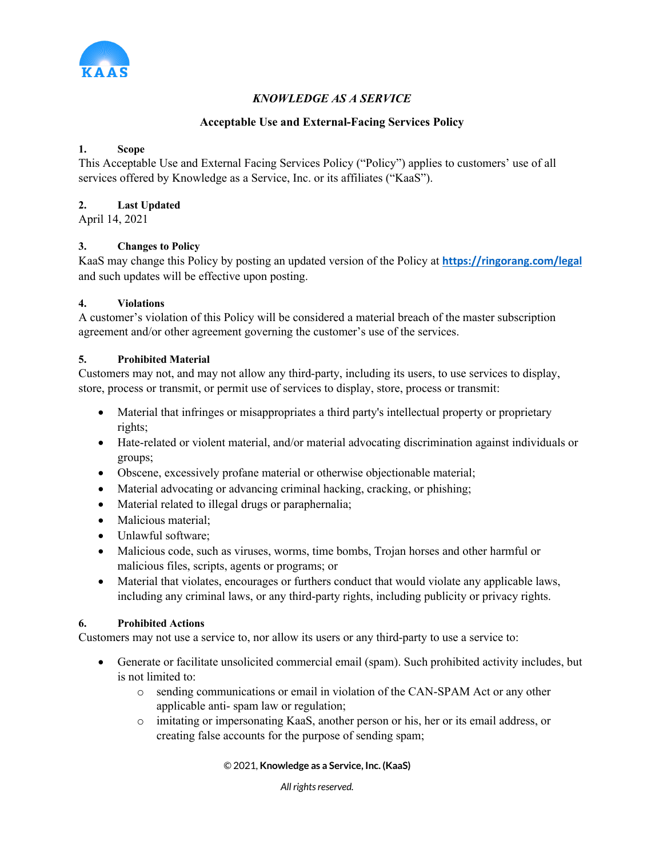

# *KNOWLEDGE AS A SERVICE*

# **Acceptable Use and External-Facing Services Policy**

# **1. Scope**

This Acceptable Use and External Facing Services Policy ("Policy") applies to customers' use of all services offered by Knowledge as a Service, Inc. or its affiliates ("KaaS").

#### **2. Last Updated**

April 14, 2021

## **3. Changes to Policy**

KaaS may change this Policy by posting an updated version of the Policy at **https://ringorang.com/legal** and such updates will be effective upon posting.

## **4. Violations**

A customer's violation of this Policy will be considered a material breach of the master subscription agreement and/or other agreement governing the customer's use of the services.

## **5. Prohibited Material**

Customers may not, and may not allow any third-party, including its users, to use services to display, store, process or transmit, or permit use of services to display, store, process or transmit:

- Material that infringes or misappropriates a third party's intellectual property or proprietary rights;
- Hate-related or violent material, and/or material advocating discrimination against individuals or groups;
- Obscene, excessively profane material or otherwise objectionable material;
- Material advocating or advancing criminal hacking, cracking, or phishing;
- Material related to illegal drugs or paraphernalia;
- Malicious material:
- Unlawful software:
- Malicious code, such as viruses, worms, time bombs, Trojan horses and other harmful or malicious files, scripts, agents or programs; or
- Material that violates, encourages or furthers conduct that would violate any applicable laws, including any criminal laws, or any third-party rights, including publicity or privacy rights.

#### **6. Prohibited Actions**

Customers may not use a service to, nor allow its users or any third-party to use a service to:

- Generate or facilitate unsolicited commercial email (spam). Such prohibited activity includes, but is not limited to:
	- o sending communications or email in violation of the CAN-SPAM Act or any other applicable anti- spam law or regulation;
	- o imitating or impersonating KaaS, another person or his, her or its email address, or creating false accounts for the purpose of sending spam;

#### © 2021, **Knowledge as a Service, Inc. (KaaS)**

*All rights reserved.*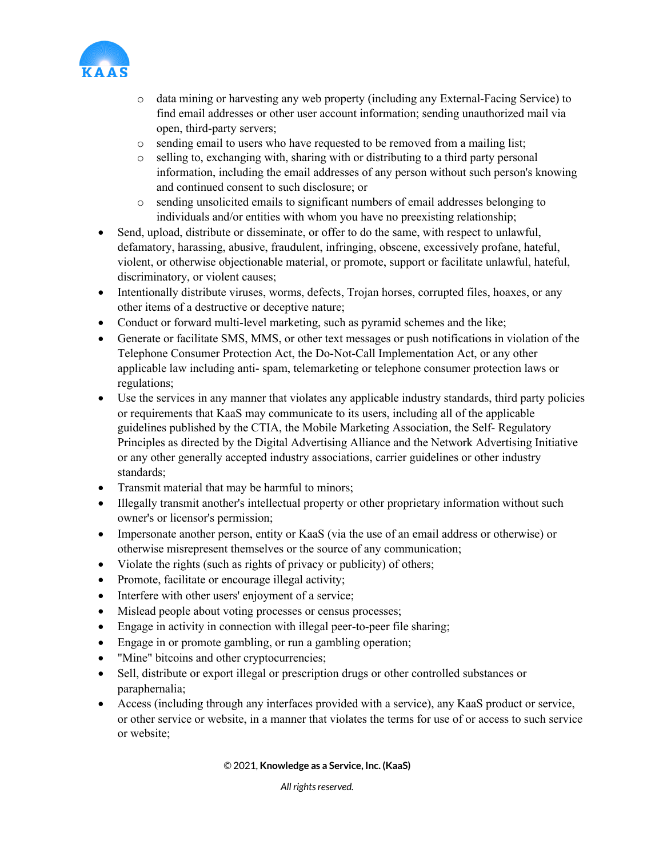

- o data mining or harvesting any web property (including any External-Facing Service) to find email addresses or other user account information; sending unauthorized mail via open, third-party servers;
- o sending email to users who have requested to be removed from a mailing list;
- o selling to, exchanging with, sharing with or distributing to a third party personal information, including the email addresses of any person without such person's knowing and continued consent to such disclosure; or
- o sending unsolicited emails to significant numbers of email addresses belonging to individuals and/or entities with whom you have no preexisting relationship;
- Send, upload, distribute or disseminate, or offer to do the same, with respect to unlawful, defamatory, harassing, abusive, fraudulent, infringing, obscene, excessively profane, hateful, violent, or otherwise objectionable material, or promote, support or facilitate unlawful, hateful, discriminatory, or violent causes;
- Intentionally distribute viruses, worms, defects, Trojan horses, corrupted files, hoaxes, or any other items of a destructive or deceptive nature;
- Conduct or forward multi-level marketing, such as pyramid schemes and the like;
- Generate or facilitate SMS, MMS, or other text messages or push notifications in violation of the Telephone Consumer Protection Act, the Do-Not-Call Implementation Act, or any other applicable law including anti- spam, telemarketing or telephone consumer protection laws or regulations;
- Use the services in any manner that violates any applicable industry standards, third party policies or requirements that KaaS may communicate to its users, including all of the applicable guidelines published by the CTIA, the Mobile Marketing Association, the Self- Regulatory Principles as directed by the Digital Advertising Alliance and the Network Advertising Initiative or any other generally accepted industry associations, carrier guidelines or other industry standards;
- Transmit material that may be harmful to minors;
- Illegally transmit another's intellectual property or other proprietary information without such owner's or licensor's permission;
- Impersonate another person, entity or KaaS (via the use of an email address or otherwise) or otherwise misrepresent themselves or the source of any communication;
- Violate the rights (such as rights of privacy or publicity) of others;
- Promote, facilitate or encourage illegal activity;
- Interfere with other users' enjoyment of a service;
- Mislead people about voting processes or census processes;
- Engage in activity in connection with illegal peer-to-peer file sharing;
- Engage in or promote gambling, or run a gambling operation;
- "Mine" bitcoins and other cryptocurrencies;
- Sell, distribute or export illegal or prescription drugs or other controlled substances or paraphernalia;
- Access (including through any interfaces provided with a service), any KaaS product or service, or other service or website, in a manner that violates the terms for use of or access to such service or website;

© 2021, **Knowledge as a Service, Inc. (KaaS)**

*All rights reserved.*